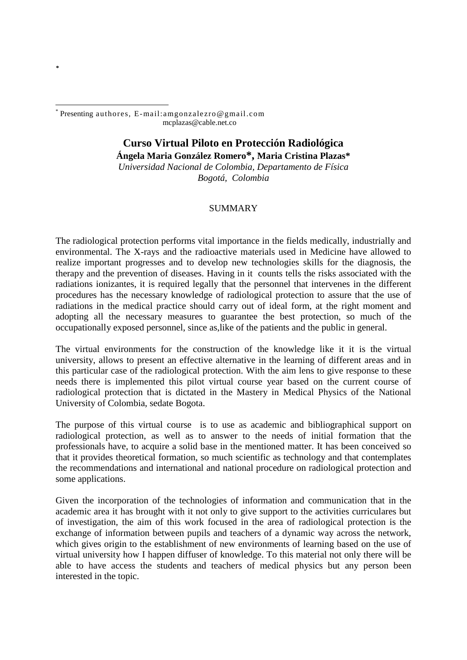<span id="page-0-0"></span>-\* Presenting authores, E-mail:amgonzalezro@gmail.com mcplazas@cable.net.co

**[\\*](#page-0-0)**

## **Curso Virtual Piloto en Protección Radiológica**

**Ángela Maria González Romero\*, Maria Cristina Plazas\*** *Universidad Nacional de Colombia, Departamento de Física Bogotá, Colombia* 

## SUMMARY

The radiological protection performs vital importance in the fields medically, industrially and environmental. The X-rays and the radioactive materials used in Medicine have allowed to realize important progresses and to develop new technologies skills for the diagnosis, the therapy and the prevention of diseases. Having in it counts tells the risks associated with the radiations ionizantes, it is required legally that the personnel that intervenes in the different procedures has the necessary knowledge of radiological protection to assure that the use of radiations in the medical practice should carry out of ideal form, at the right moment and adopting all the necessary measures to guarantee the best protection, so much of the occupationally exposed personnel, since as,like of the patients and the public in general.

The virtual environments for the construction of the knowledge like it it is the virtual university, allows to present an effective alternative in the learning of different areas and in this particular case of the radiological protection. With the aim lens to give response to these needs there is implemented this pilot virtual course year based on the current course of radiological protection that is dictated in the Mastery in Medical Physics of the National University of Colombia, sedate Bogota.

The purpose of this virtual course is to use as academic and bibliographical support on radiological protection, as well as to answer to the needs of initial formation that the professionals have, to acquire a solid base in the mentioned matter. It has been conceived so that it provides theoretical formation, so much scientific as technology and that contemplates the recommendations and international and national procedure on radiological protection and some applications.

Given the incorporation of the technologies of information and communication that in the academic area it has brought with it not only to give support to the activities curriculares but of investigation, the aim of this work focused in the area of radiological protection is the exchange of information between pupils and teachers of a dynamic way across the network, which gives origin to the establishment of new environments of learning based on the use of virtual university how I happen diffuser of knowledge. To this material not only there will be able to have access the students and teachers of medical physics but any person been interested in the topic.